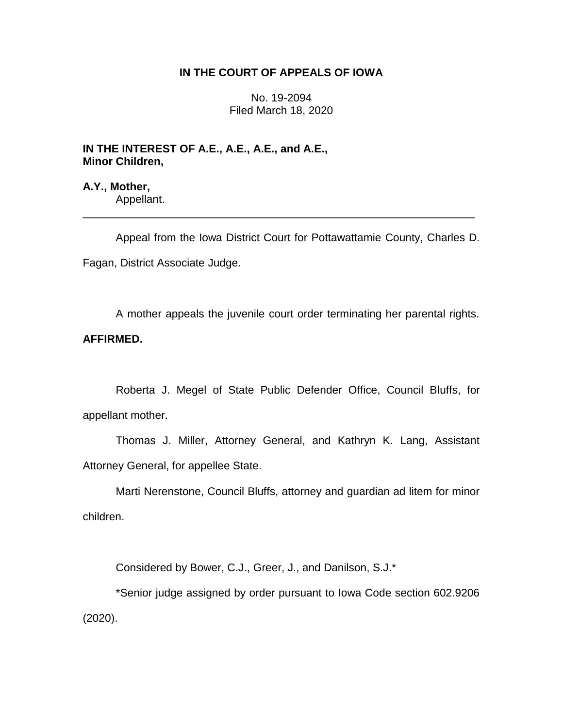# **IN THE COURT OF APPEALS OF IOWA**

No. 19-2094 Filed March 18, 2020

**IN THE INTEREST OF A.E., A.E., A.E., and A.E., Minor Children,**

**A.Y., Mother,** Appellant.

Appeal from the Iowa District Court for Pottawattamie County, Charles D.

\_\_\_\_\_\_\_\_\_\_\_\_\_\_\_\_\_\_\_\_\_\_\_\_\_\_\_\_\_\_\_\_\_\_\_\_\_\_\_\_\_\_\_\_\_\_\_\_\_\_\_\_\_\_\_\_\_\_\_\_\_\_\_\_

Fagan, District Associate Judge.

A mother appeals the juvenile court order terminating her parental rights.

# **AFFIRMED.**

Roberta J. Megel of State Public Defender Office, Council Bluffs, for appellant mother.

Thomas J. Miller, Attorney General, and Kathryn K. Lang, Assistant Attorney General, for appellee State.

Marti Nerenstone, Council Bluffs, attorney and guardian ad litem for minor children.

Considered by Bower, C.J., Greer, J., and Danilson, S.J.\*

\*Senior judge assigned by order pursuant to Iowa Code section 602.9206 (2020).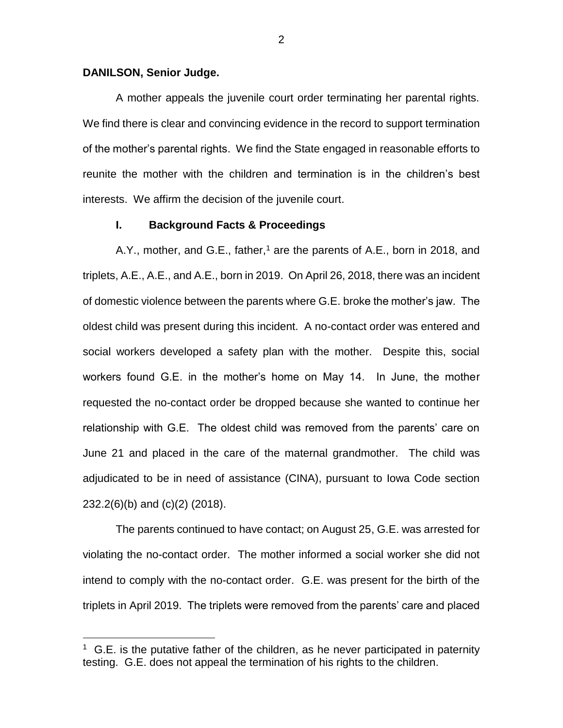#### **DANILSON, Senior Judge.**

 $\overline{a}$ 

A mother appeals the juvenile court order terminating her parental rights. We find there is clear and convincing evidence in the record to support termination of the mother's parental rights. We find the State engaged in reasonable efforts to reunite the mother with the children and termination is in the children's best interests. We affirm the decision of the juvenile court.

### **I. Background Facts & Proceedings**

A.Y., mother, and G.E., father,<sup>1</sup> are the parents of A.E., born in 2018, and triplets, A.E., A.E., and A.E., born in 2019. On April 26, 2018, there was an incident of domestic violence between the parents where G.E. broke the mother's jaw. The oldest child was present during this incident. A no-contact order was entered and social workers developed a safety plan with the mother. Despite this, social workers found G.E. in the mother's home on May 14. In June, the mother requested the no-contact order be dropped because she wanted to continue her relationship with G.E. The oldest child was removed from the parents' care on June 21 and placed in the care of the maternal grandmother. The child was adjudicated to be in need of assistance (CINA), pursuant to Iowa Code section 232.2(6)(b) and (c)(2) (2018).

The parents continued to have contact; on August 25, G.E. was arrested for violating the no-contact order. The mother informed a social worker she did not intend to comply with the no-contact order. G.E. was present for the birth of the triplets in April 2019. The triplets were removed from the parents' care and placed

 $1$  G.E. is the putative father of the children, as he never participated in paternity testing. G.E. does not appeal the termination of his rights to the children.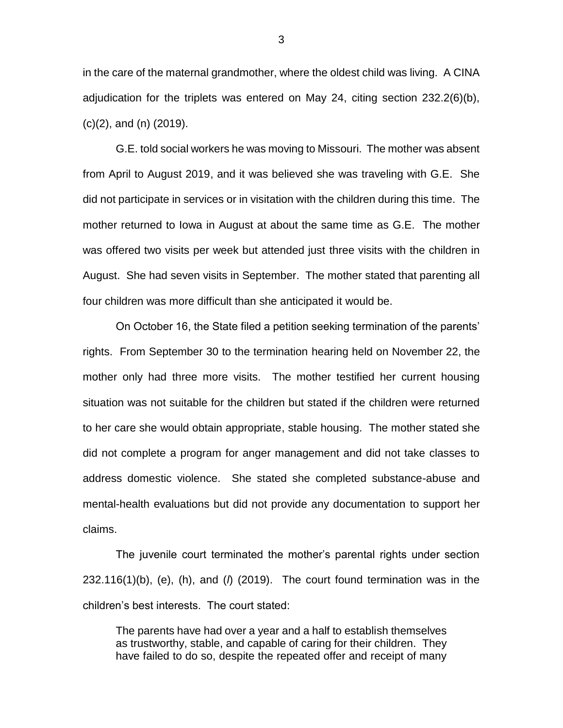in the care of the maternal grandmother, where the oldest child was living. A CINA adjudication for the triplets was entered on May 24, citing section 232.2(6)(b), (c)(2), and (n) (2019).

G.E. told social workers he was moving to Missouri. The mother was absent from April to August 2019, and it was believed she was traveling with G.E. She did not participate in services or in visitation with the children during this time. The mother returned to Iowa in August at about the same time as G.E. The mother was offered two visits per week but attended just three visits with the children in August. She had seven visits in September. The mother stated that parenting all four children was more difficult than she anticipated it would be.

On October 16, the State filed a petition seeking termination of the parents' rights. From September 30 to the termination hearing held on November 22, the mother only had three more visits. The mother testified her current housing situation was not suitable for the children but stated if the children were returned to her care she would obtain appropriate, stable housing. The mother stated she did not complete a program for anger management and did not take classes to address domestic violence. She stated she completed substance-abuse and mental-health evaluations but did not provide any documentation to support her claims.

The juvenile court terminated the mother's parental rights under section 232.116(1)(b), (e), (h), and (*l*) (2019). The court found termination was in the children's best interests. The court stated:

The parents have had over a year and a half to establish themselves as trustworthy, stable, and capable of caring for their children. They have failed to do so, despite the repeated offer and receipt of many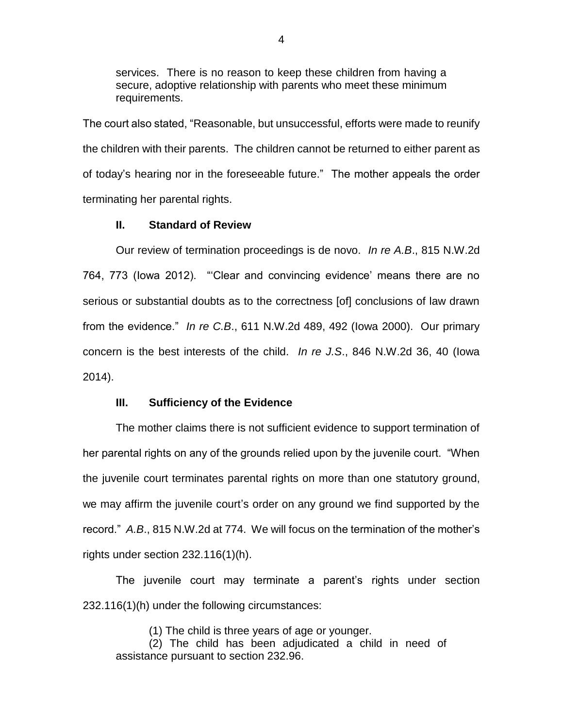services. There is no reason to keep these children from having a secure, adoptive relationship with parents who meet these minimum requirements.

The court also stated, "Reasonable, but unsuccessful, efforts were made to reunify the children with their parents. The children cannot be returned to either parent as of today's hearing nor in the foreseeable future." The mother appeals the order terminating her parental rights.

## **II. Standard of Review**

Our review of termination proceedings is de novo. *In re A.B*., 815 N.W.2d 764, 773 (Iowa 2012). "'Clear and convincing evidence' means there are no serious or substantial doubts as to the correctness [of] conclusions of law drawn from the evidence." *In re C.B*., 611 N.W.2d 489, 492 (Iowa 2000). Our primary concern is the best interests of the child. *In re J.S*., 846 N.W.2d 36, 40 (Iowa 2014).

## **III. Sufficiency of the Evidence**

The mother claims there is not sufficient evidence to support termination of her parental rights on any of the grounds relied upon by the juvenile court. "When the juvenile court terminates parental rights on more than one statutory ground, we may affirm the juvenile court's order on any ground we find supported by the record." *A.B*., 815 N.W.2d at 774. We will focus on the termination of the mother's rights under section 232.116(1)(h).

The juvenile court may terminate a parent's rights under section 232.116(1)(h) under the following circumstances:

(1) The child is three years of age or younger.

(2) The child has been adjudicated a child in need of assistance pursuant to section 232.96.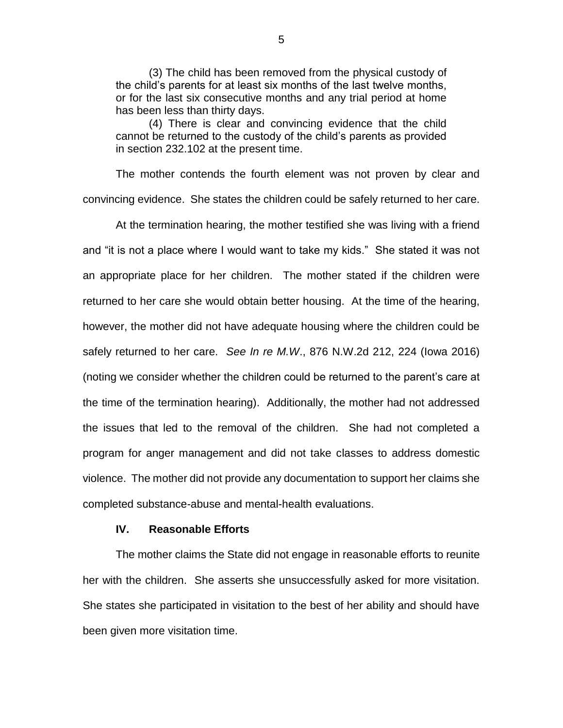(3) The child has been removed from the physical custody of the child's parents for at least six months of the last twelve months, or for the last six consecutive months and any trial period at home has been less than thirty days.

(4) There is clear and convincing evidence that the child cannot be returned to the custody of the child's parents as provided in section 232.102 at the present time.

The mother contends the fourth element was not proven by clear and convincing evidence. She states the children could be safely returned to her care.

At the termination hearing, the mother testified she was living with a friend and "it is not a place where I would want to take my kids." She stated it was not an appropriate place for her children. The mother stated if the children were returned to her care she would obtain better housing. At the time of the hearing, however, the mother did not have adequate housing where the children could be safely returned to her care. *See In re M.W*., 876 N.W.2d 212, 224 (Iowa 2016) (noting we consider whether the children could be returned to the parent's care at the time of the termination hearing). Additionally, the mother had not addressed the issues that led to the removal of the children. She had not completed a program for anger management and did not take classes to address domestic violence. The mother did not provide any documentation to support her claims she completed substance-abuse and mental-health evaluations.

#### **IV. Reasonable Efforts**

The mother claims the State did not engage in reasonable efforts to reunite her with the children. She asserts she unsuccessfully asked for more visitation. She states she participated in visitation to the best of her ability and should have been given more visitation time.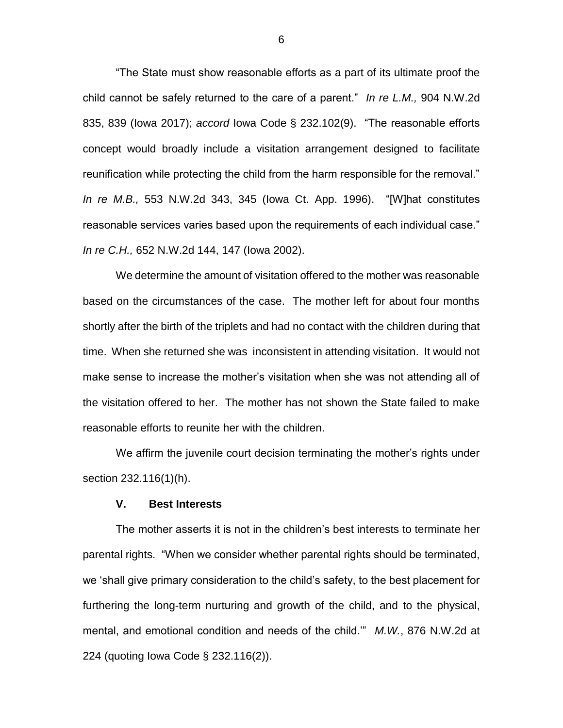"The State must show reasonable efforts as a part of its ultimate proof the child cannot be safely returned to the care of a parent." *In re L.M.,* 904 N.W.2d 835, 839 (Iowa 2017); *accord* Iowa Code § 232.102(9). "The reasonable efforts concept would broadly include a visitation arrangement designed to facilitate reunification while protecting the child from the harm responsible for the removal." *In re M.B.,* 553 N.W.2d 343, 345 (Iowa Ct. App. 1996). "[W]hat constitutes reasonable services varies based upon the requirements of each individual case." *In re C.H.,* 652 N.W.2d 144, 147 (Iowa 2002).

We determine the amount of visitation offered to the mother was reasonable based on the circumstances of the case. The mother left for about four months shortly after the birth of the triplets and had no contact with the children during that time. When she returned she was inconsistent in attending visitation. It would not make sense to increase the mother's visitation when she was not attending all of the visitation offered to her. The mother has not shown the State failed to make reasonable efforts to reunite her with the children.

We affirm the juvenile court decision terminating the mother's rights under section 232.116(1)(h).

#### **V. Best Interests**

The mother asserts it is not in the children's best interests to terminate her parental rights. "When we consider whether parental rights should be terminated, we 'shall give primary consideration to the child's safety, to the best placement for furthering the long-term nurturing and growth of the child, and to the physical, mental, and emotional condition and needs of the child.'" *M.W.*, 876 N.W.2d at 224 (quoting Iowa Code § 232.116(2)).

6